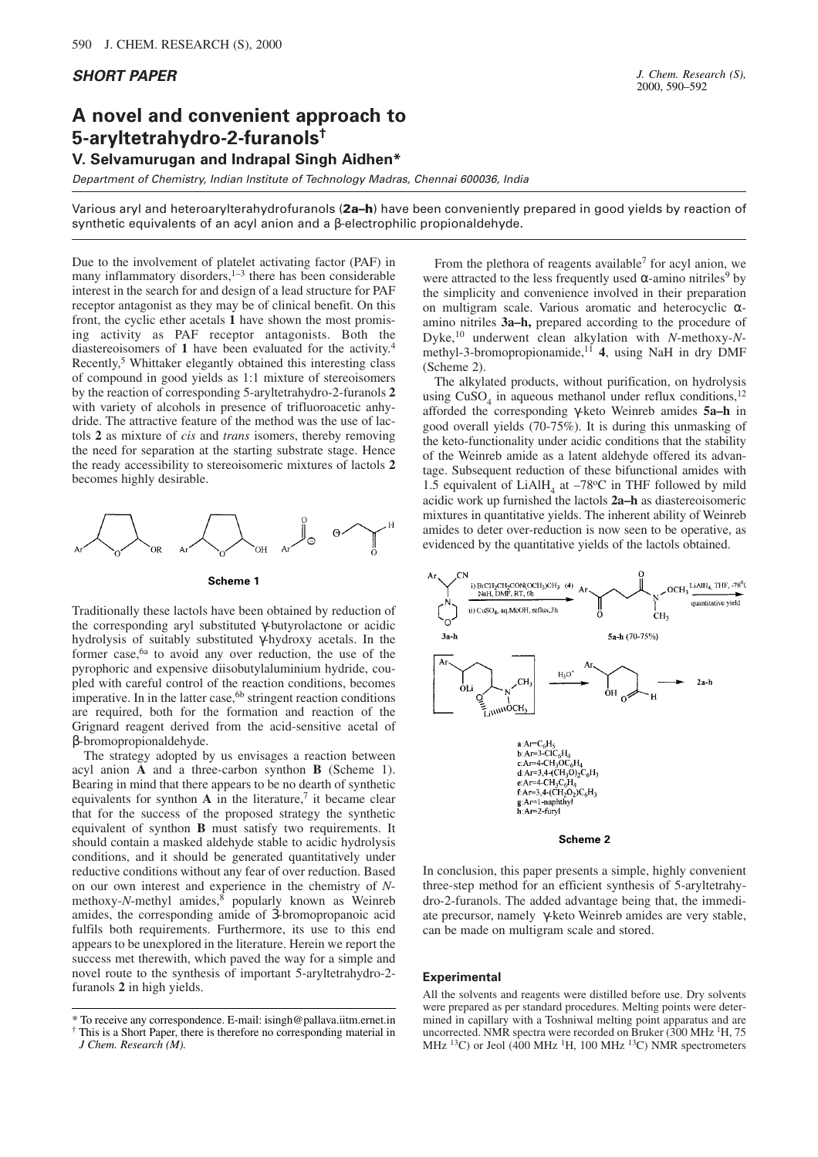## **SHORT PAPER**

## **A novel and convenient approach to 5-aryltetrahydro-2-furanols†**

**V. Selvamurugan and Indrapal Singh Aidhen\***

Department of Chemistry, Indian Institute of Technology Madras, Chennai 600036, India

Various aryl and heteroarylterahydrofuranols (2a–h) have been conveniently prepared in good yields by reaction of synthetic equivalents of an acyl anion and a β-electrophilic propionaldehyde.

Due to the involvement of platelet activating factor (PAF) in many inflammatory disorders, $1-3$  there has been considerable interest in the search for and design of a lead structure for PAF receptor antagonist as they may be of clinical benefit. On this front, the cyclic ether acetals **1** have shown the most promising activity as PAF receptor antagonists. Both the diastereoisomers of **1** have been evaluated for the activity.<sup>4</sup> Recently,<sup>5</sup> Whittaker elegantly obtained this interesting class of compound in good yields as 1:1 mixture of stereoisomers by the reaction of corresponding 5-aryltetrahydro-2-furanols **2** with variety of alcohols in presence of trifluoroacetic anhydride. The attractive feature of the method was the use of lactols **2** as mixture of *cis* and *trans* isomers, thereby removing the need for separation at the starting substrate stage. Hence the ready accessibility to stereoisomeric mixtures of lactols **2** becomes highly desirable.



**Scheme 1**

Traditionally these lactols have been obtained by reduction of the corresponding aryl substituted γ-butyrolactone or acidic hydrolysis of suitably substituted γ-hydroxy acetals. In the former case,6a to avoid any over reduction, the use of the pyrophoric and expensive diisobutylaluminium hydride, coupled with careful control of the reaction conditions, becomes imperative. In in the latter case, $6<sup>b</sup>$  stringent reaction conditions are required, both for the formation and reaction of the Grignard reagent derived from the acid-sensitive acetal of β-bromopropionaldehyde.

The strategy adopted by us envisages a reaction between acyl anion **A** and a three-carbon synthon **B** (Scheme 1). Bearing in mind that there appears to be no dearth of synthetic equivalents for synthon  $\bf{A}$  in the literature,<sup>7</sup> it became clear that for the success of the proposed strategy the synthetic equivalent of synthon **B** must satisfy two requirements. It should contain a masked aldehyde stable to acidic hydrolysis conditions, and it should be generated quantitatively under reductive conditions without any fear of over reduction. Based on our own interest and experience in the chemistry of *N*methoxy-*N*-methyl amides,<sup>§</sup> popularly known as Weinreb amides, the corresponding amide of 3-bromopropanoic acid fulfils both requirements. Furthermore, its use to this end appears to be unexplored in the literature. Herein we report the success met therewith, which paved the way for a simple and novel route to the synthesis of important 5-aryltetrahydro-2 furanols **2** in high yields.

From the plethora of reagents available<sup>7</sup> for acyl anion, we were attracted to the less frequently used  $\alpha$ -amino nitriles<sup>9</sup> by the simplicity and convenience involved in their preparation on multigram scale. Various aromatic and heterocyclic αamino nitriles **3a–h,** prepared according to the procedure of Dyke,<sup>10</sup> underwent clean alkylation with *N*-methoxy-*N*methyl-3-bromopropionamide,<sup>11</sup> 4, using NaH in dry DMF (Scheme 2).

The alkylated products, without purification, on hydrolysis using  $CuSO<sub>4</sub>$  in aqueous methanol under reflux conditions,<sup>12</sup> afforded the corresponding γ-keto Weinreb amides **5a–h** in good overall yields (70-75%). It is during this unmasking of the keto-functionality under acidic conditions that the stability of the Weinreb amide as a latent aldehyde offered its advantage. Subsequent reduction of these bifunctional amides with 1.5 equivalent of  $LiAlH<sub>4</sub>$  at  $-78^{\circ}\text{C}$  in THF followed by mild acidic work up furnished the lactols **2a–h** as diastereoisomeric mixtures in quantitative yields. The inherent ability of Weinreb amides to deter over-reduction is now seen to be operative, as evidenced by the quantitative yields of the lactols obtained.



In conclusion, this paper presents a simple, highly convenient three-step method for an efficient synthesis of 5-aryltetrahydro-2-furanols. The added advantage being that, the immediate precursor, namely γ-keto Weinreb amides are very stable, can be made on multigram scale and stored.

## **Experimental**

All the solvents and reagents were distilled before use. Dry solvents were prepared as per standard procedures. Melting points were determined in capillary with a Toshniwal melting point apparatus and are uncorrected. NMR spectra were recorded on Bruker (300 MHz <sup>1</sup>H, 75 MHz <sup>13</sup>C) or Jeol (400 MHz <sup>1</sup>H, 100 MHz <sup>13</sup>C) NMR spectrometers

<sup>\*</sup> To receive any correspondence. E-mail: isingh@pallava.iitm.ernet.in † This is a Short Paper, there is therefore no corresponding material in

*J Chem. Research (M).*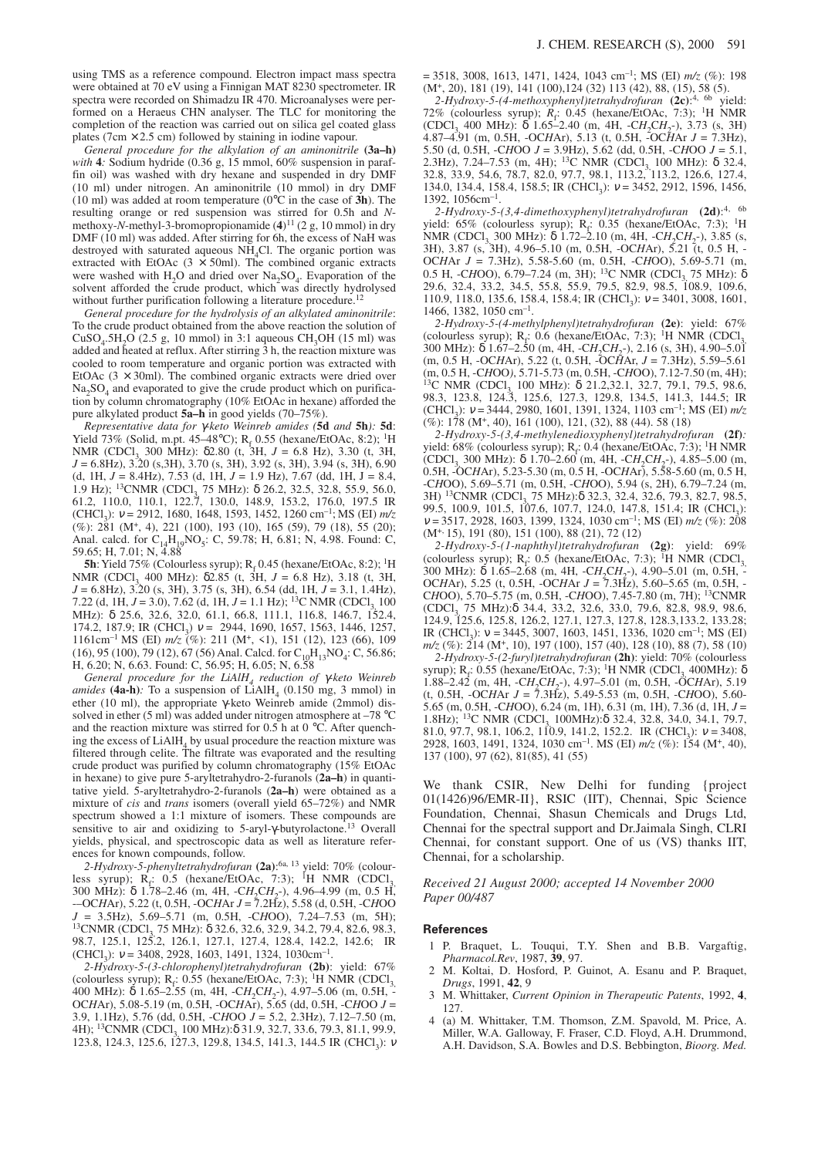using TMS as a reference compound. Electron impact mass spectra were obtained at 70 eV using a Finnigan MAT 8230 spectrometer. IR spectra were recorded on Shimadzu IR 470. Microanalyses were performed on a Heraeus CHN analyser. The TLC for monitoring the completion of the reaction was carried out on silica gel coated glass plates ( $7 \text{cm} \times 2.5 \text{cm}$ ) followed by staining in iodine vapour.

*General procedure for the alkylation of an aminonitrile* **(3a–h)** *with* **4***:* Sodium hydride (0.36 g, 15 mmol, 60% suspension in paraffin oil) was washed with dry hexane and suspended in dry DMF (10 ml) under nitrogen. An aminonitrile (10 mmol) in dry DMF (10 ml) was added at room temperature (0°C in the case of **3h**). The resulting orange or red suspension was stirred for 0.5h and *N*methoxy-*N*-methyl-3-bromopropionamide (**4**) <sup>11</sup> (2 g, 10 mmol) in dry DMF (10 ml) was added. After stirring for 6h, the excess of NaH was destroyed with saturated aqueous  $NH<sub>4</sub>Cl$ . The organic portion was extracted with EtOAc  $(3 \times 50$ ml). The combined organic extracts were washed with  $H_2O$  and dried over  $Na_2SO_4$ . Evaporation of the solvent afforded the crude product, which was directly hydrolysed without further purification following a literature procedure.<sup>12</sup>

*General procedure for the hydrolysis of an alkylated aminonitrile*: To the crude product obtained from the above reaction the solution of  $CuSO<sub>4</sub>.5H<sub>2</sub>O$  (2.5 g, 10 mmol) in 3:1 aqueous CH<sub>3</sub>OH (15 ml) was added and heated at reflux. After stirring 3 h, the reaction mixture was cooled to room temperature and organic portion was extracted with EtOAc  $(3 \times 30$ ml). The combined organic extracts were dried over  $Na<sub>2</sub>SO<sub>4</sub>$  and evaporated to give the crude product which on purification by column chromatography (10% EtOAc in hexane) afforded the pure alkylated product **5a–h** in good yields (70–75%).

*Representative data for* γ*-keto Weinreb amides (***5d** *and* **5h***):* **5d**: Yield 73% (Solid, m.pt. 45–48°C);  $R_f$  0.55 (hexane/EtOAc, 8:2); <sup>1</sup>H NMR (CDCl<sub>3</sub> 300 MHz): δ2.80 (t, 3H, *J* = 6.8 Hz), 3.30 (t, 3H, *J* = 6.8Hz), 3.20 (s,3H), 3.70 (s, 3H), 3.92 (s, 3H), 3.94 (s, 3H), 6.90 (d, 1H,  $J = 8.4$ Hz), 7.53 (d, 1H,  $J = 1.9$  Hz), 7.67 (dd, 1H,  $J = 8.4$ , 1.9 Hz); <sup>13</sup>CNMR (CDCl<sub>3</sub>, 75 MHz): δ 26.2, 32.5, 32.8, 55.9, 56.0, 61.2, 110.0, 110.1, 122.7, 130.0, 148.9, 153.2, 176.0, 197.5 IR (CHCl<sub>3</sub>):  $v = 2912, 1680, 1648, 1593, 1452, 1260$  cm<sup>-1</sup>; MS (EI)  $m/z$ (%): 281 (M<sup>+</sup> , 4), 221 (100), 193 (10), 165 (59), 79 (18), 55 (20); Anal. calcd. for  $C_{14}H_{19}NO_5$ : C, 59.78; H, 6.81; N, 4.98. Found: C, 59.65; H, 7.01; N, 4.88

**5h**: Yield 75% (Colourless syrup);  $R_f$  0.45 (hexane/EtOAc, 8:2); <sup>1</sup>H NMR (CDCl<sub>3</sub> 400 MHz): δ2.85 (t, 3H, *J* = 6.8 Hz), 3.18 (t, 3H, *J* = 6.8Hz), 3.20 (s, 3H), 3.75 (s, 3H), 6.54 (dd, 1H, *J* = 3.1, 1.4Hz), 7.22 (d, 1H,  $J = 3.0$ ), 7.62 (d, 1H,  $J = 1.1$  Hz); <sup>13</sup>C NMR (CDCl<sub>3</sub> 100) MHz): δ 25.6, 32.6, 32.0, 61.1, 66.8, 111.1, 116.8, 146.7, 152.4, 174.2, 187.9; IR (CHCl<sub>3</sub>)  $v = 2944, 1690, 1657, 1563, 1446, 1257,$ 1161cm–1 MS (EI) *m/z* (%): 211 (M<sup>+</sup> , <1), 151 (12), 123 (66), 109  $(16)$ , 95 (100), 79 (12), 67 (56) Anal. Calcd. for C<sub>10</sub>H<sub>13</sub>NO<sub>4</sub>: C, 56.86; H, 6.20; N, 6.63. Found: C, 56.95; H, 6.05; N, 6.58

*General procedure for the LiAlH<sup>4</sup> reduction of* γ*-keto Weinreb amides* (4a-h): To a suspension of  $LiAlH<sub>4</sub>$  (0.150 mg, 3 mmol) in ether (10 ml), the appropriate γ-keto Weinreb amide (2mmol) dissolved in ether (5 ml) was added under nitrogen atmosphere at –78 °C and the reaction mixture was stirred for  $0.5$  h at  $0^{\circ}$ C. After quenching the excess of  $LiAlH<sub>4</sub>$  by usual procedure the reaction mixture was filtered through celite. The filtrate was evaporated and the resulting crude product was purified by column chromatography (15% EtOAc in hexane) to give pure 5-aryltetrahydro-2-furanols (**2a–h**) in quantitative yield. 5-aryltetrahydro-2-furanols (**2a–h**) were obtained as a mixture of *cis* and *trans* isomers (overall yield 65–72%) and NMR spectrum showed a 1:1 mixture of isomers. These compounds are sensitive to air and oxidizing to 5-aryl-γ-butyrolactone.<sup>13</sup> Overall yields, physical, and spectroscopic data as well as literature references for known compounds, follow.

*2-Hydroxy-5-phenyltetrahydrofuran* **(2a)**: 6a, 13 yield: 70% (colourless syrup);  $R_f$ : 0.5 (hexane/EtOAc, 7:3); <sup>1</sup>H NMR (CDCl<sub>3</sub>, 300 MHz): δ 1.78–2.46 (m, 4H, -C*H*<sub>2</sub>C*H*<sub>2</sub>-), 4.96–4.99 (m, 0.5 H, -–OC*H*Ar), 5.22 (t, 0.5H, -OC*H*Ar *J* = 7.2Hz), 5.58 (d, 0.5H, -C*H*OO *J* = 3.5Hz), 5.69–5.71 (m, 0.5H, -C*H*OO), 7.24–7.53 (m, 5H); <sup>13</sup>CNMR (CDCl<sub>3</sub>, 75 MHz): δ 32.6, 32.6, 32.9, 34.2, 79.4, 82.6, 98.3, 98.7, 125.1, 125.2, 126.1, 127.1, 127.4, 128.4, 142.2, 142.6; IR  $(CHCl<sub>3</sub>): v = 3408, 2928, 1603, 1491, 1324, 1030 \text{cm}^{-1}.$ 

*2-Hydroxy-5-(3-chlorophenyl)tetrahydrofuran* **(2b)**: yield: 67% (colourless syrup);  $R_f$ : 0.55 (hexane/EtOAc, 7:3); <sup>1</sup>H NMR (CDCl<sub>3,</sub> 400 MHz): δ 1.65–2.55 (m, 4H, -C*H*<sub>2</sub>C*H*<sub>2</sub>-), 4.97–5.06 (m, 0.5H, -OC*H*Ar), 5.08-5.19 (m, 0.5H, -OC*H*Ar), 5.65 (dd, 0.5H, -C*H*OO *J* = 3.9, 1.1Hz), 5.76 (dd, 0.5H, -C*H*OO *J* = 5.2, 2.3Hz), 7.12–7.50 (m, 4H); <sup>13</sup>CNMR (CDCl<sub>2</sub> 100 MHz):δ 31.9, 32.7, 33.6, 79.3, 81.1, 99.9, 123.8, 124.3, 125.6, 127.3, 129.8, 134.5, 141.3, 144.5 IR (CHCl<sub>3</sub>): *ν* 

 $= 3518$ , 3008, 1613, 1471, 1424, 1043 cm<sup>-1</sup>; MS (EI)  $m/z$  (%): 198 (M<sup>+</sup> , 20), 181 (19), 141 (100),124 (32) 113 (42), 88, (15), 58 (5).

*2-Hydroxy-5-(4-methoxyphenyl)tetrahydrofuran* **(2c)**: 4, 6b yield: 72% (colourless syrup);  $R_f$ : 0.45 (hexane/EtOAc, 7:3); <sup>1</sup>H NMR  $(CDCl<sub>3</sub> 400 MHz)$ : δ 1.65–2.40 (m, 4H,  $-CH<sub>2</sub>CH<sub>2</sub>$ ), 3.73 (s, 3H) 4.87–4.91 (m, 0.5H, -OC*H*Ar), 5.13 (t, 0.5H, -OC*H*Ar *J* = 7.3Hz), 5.50 (d, 0.5H, -C*H*OO *J* = 3.9Hz), 5.62 (dd, 0.5H, -C*H*OO *J* = 5.1, 2.3Hz), 7.24–7.53 (m, 4H); <sup>13</sup>C NMR (CDCl<sub>3,</sub> 100 MHz): δ 32.4,<br>32.8, 33.9, 54.6, 78.7, 82.0, 97.7, 98.1, 113.2, 113.2, 126.6, 127.4, 134.0, 134.4, 158.4, 158.5; IR (CHCl<sub>3</sub>):  $v = 3452, 2912, 1596, 1456,$ 1392, 1056cm–1 .

*2-Hydroxy-5-(3,4-dimethoxyphenyl)tetrahydrofuran* **(2d)**: 4, 6b yield:  $65\%$  (colourless syrup);  $R_f$ : 0.35 (hexane/EtOAc, 7:3); <sup>1</sup>H NMR (CDCl<sub>3</sub>, 300 MHz): δ 1.72–2.10 (m, 4H, -C*H*<sub>2</sub>C*H*<sub>2</sub>-), 3.85 (s, 3H), 3.87 (s, 3H), 4.96–5.10 (m, 0.5H, -OC*H*Ar), 5.21 (t, 0.5 H, - OC*H*Ar *J* = 7.3Hz), 5.58-5.60 (m, 0.5H, -C*H*OO), 5.69-5.71 (m, 0.5 H, -C*H*OO), 6.79–7.24 (m, 3H); <sup>13</sup>C NMR (CDCl<sub>3</sub> 75 MHz): δ<br>29.6, 32.4, 33.2, 34.5, 55.8, 55.9, 79.5, 82.9, 98.5, 108.9, 109.6, 110.9, 118.0, 135.6, 158.4, 158.4; IR (CHCl<sub>3</sub>):  $v = 3401, 3008, 1601,$ 1466, 1382, 1050 cm–1 .

*2-Hydroxy-5-(4-methylphenyl)tetrahydrofuran* **(2e)**: yield: 67%  $\left( \text{colourless syrup} \right); \text{ } R_f: 0.6 \text{ (hexane/EtOAc, 7:3)}; \text{ }^1\text{H} \text{ NMR} \text{ (CDCl}_3, 0.001)$ 300 MHz): δ 1.67–2.50 (m, 4H, -C*H*<sub>2</sub>C*H*<sub>2</sub><sup>-</sup>), 2.16 (s, 3H), 4.90–5.01 (m, 0.5 H, -OC*H*Ar), 5.22 (t, 0.5H, -OC*H*Ar, *J* = 7.3Hz), 5.59–5.61 (m, 0.5 H, -C*H*OO*)*, 5.71-5.73 (m, 0.5H, -C*H*OO), 7.12-7.50 (m, 4H); <sup>13</sup>C NMR (CDCl<sub>3</sub> 100 MHz): δ 21.2,32.1, 32.7, 79.1, 79.5, 98.6, 98.3, 123.8, 124.3, 125.6, 127.3, 129.8, 134.5, 141.3, 144.5; IR  $(\text{CHCl}_3):$   $v = 3444$ , 2980, 1601, 1391, 1324, 1103 cm<sup>-1</sup>; MS (EI)  $m/z$ (%): 178 (M<sup>+</sup> , 40), 161 (100), 121, (32), 88 (44). 58 (18)

*2-Hydroxy-5-(3,4-methylenedioxyphenyl)tetrahydrofuran* **(2f)***:* yield:  $68\%$  (colourless syrup); R<sub>f</sub>: 0.4 (hexane/EtOAc, 7:3); <sup>1</sup>H NMR  $(CDCl<sub>3</sub> 300 MHz)$ :  $\delta$  1.70–2.60 (m, 4H, -C*H*<sub>2</sub>C*H*<sub>2</sub>-), 4.85–5.00 (m, 0.5H, -OC*H*Ar), 5.23-5.30 (m, 0.5 H, -OC*H*Ar), 5.58-5.60 (m, 0.5 H, -C*H*OO), 5.69–5.71 (m, 0.5H, -C*H*OO), 5.94 (s, 2H), 6.79–7.24 (m, 3H) <sup>13</sup>CNMR (CDCl<sub>3</sub> 75 MHz):δ 32.3, 32.4, 32.6, 79.3, 82.7, 98.5, 99.5, 100.9, 101.5, 107.6, 107.7, 124.0, 147.8, 151.4; IR (CHCl<sub>3</sub>):  $v = 3517, 2928, 1603, 1399, 1324, 1030$  cm<sup>-1</sup>; MS (EI)  $m/z$  (%): 208 (M+, 15), 191 (80), 151 (100), 88 (21), 72 (12)

*2-Hydroxy-5-(1-naphthyl)tetrahydrofuran* **(2g)**: yield: 69% (colourless syrup);  $R_f$ : 0.5 (hexane/EtOAc, 7:3); <sup>1</sup>H NMR (CDCl<sub>3,</sub> 300 MHz): δ 1.65–2.68 (m, 4H, -CH<sub>2</sub>CH<sub>2</sub>-), 4.90–5.01 (m, 0.5H, -OC*H*Ar), 5.25 (t, 0.5H, -OC*H*Ar *J* = 7.3Hz), 5.60–5.65 (m, 0.5H, - C*H*OO), 5.70–5.75 (m, 0.5H, -C*H*OO), 7.45-7.80 (m, 7H); <sup>13</sup>CNMR (CDCl<sub>3</sub> 75 MHz):δ 34.4, 33.2, 32.6, 33.0, 79.6, 82.8, 98.9, 98.6, 124.9, 125.6, 125.8, 126.2, 127.1, 127.3, 127.8, 128.3,133.2, 133.28; IR (CHCl<sub>3</sub>):  $v = 3445, 3007, 1603, 1451, 1336, 1020$  cm<sup>-1</sup>; MS (EI) *m/z* (%): 214 (M<sup>+</sup> , 10), 197 (100), 157 (40), 128 (10), 88 (7), 58 (10)

*2-Hydroxy-5-(2-furyl)tetrahydrofuran* **(2h)**: yield: 70% (colourless syrup);  $R_f$ : 0.55 (hexane/EtOAc, 7:3); <sup>1</sup>H NMR (CDCl<sub>3</sub>, 400MHz):  $\delta$ 1.88–2.42 (m, 4H, -C*H*<sub>2</sub>C*H*<sub>2</sub><sup>-</sup>), 4.97–5.01 (m, 0.5H, -OC*H*Ar), 5.19 (t, 0.5H, -OC*H*Ar *J* = 7.3Hz), 5.49-5.53 (m, 0.5H, -C*H*OO), 5.60- 5.65 (m, 0.5H, -C*H*OO), 6.24 (m, 1H), 6.31 (m, 1H), 7.36 (d, 1H, *J* = 1.8Hz); <sup>13</sup>C NMR (CDCl3, 100MHz):δ 32.4, 32.8, 34.0, 34.1, 79.7, 81.0, 97.7, 98.1, 106.2, 110.9, 141.2, 152.2. IR (CHCl<sub>3</sub>):  $v = 3408$ , 2928, 1603, 1491, 1324, 1030 cm–1. MS (EI) *m/z* (%): 154 (M<sup>+</sup> , 40), 137 (100), 97 (62), 81(85), 41 (55)

We thank CSIR, New Delhi for funding {project 01(1426)96/EMR-II}, RSIC (IIT), Chennai, Spic Science Foundation, Chennai, Shasun Chemicals and Drugs Ltd, Chennai for the spectral support and Dr.Jaimala Singh, CLRI Chennai, for constant support. One of us (VS) thanks IIT, Chennai, for a scholarship.

*Received 21 August 2000; accepted 14 November 2000 Paper 00/487*

## **References**

- 1 P. Braquet, L. Touqui, T.Y. Shen and B.B. Vargaftig, *Pharmacol.Rev*, 1987, **39**, 97.
- 2 M. Koltai, D. Hosford, P. Guinot, A. Esanu and P. Braquet, *Drugs*, 1991, **42**, 9
- 3 M. Whittaker, *Current Opinion in Therapeutic Patents*, 1992, **4**, 127.
- 4 (a) M. Whittaker, T.M. Thomson, Z.M. Spavold, M. Price, A. Miller, W.A. Galloway, F. Fraser, C.D. Floyd, A.H. Drummond, A.H. Davidson, S.A. Bowles and D.S. Bebbington, *Bioorg. Med.*